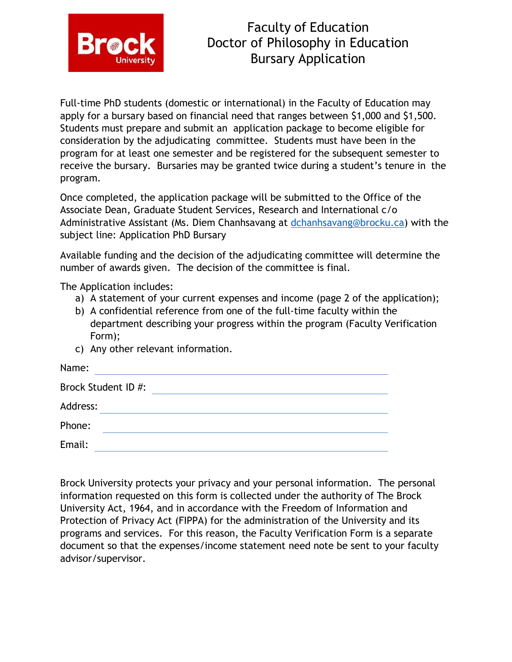

## Faculty of Education Doctor of Philosophy in Education Bursary Application

Full-time PhD students (domestic or international) in the Faculty of Education may apply for a bursary based on financial need that ranges between \$1,000 and \$1,500. Students must prepare and submit an application package to become eligible for consideration by the adjudicating committee. Students must have been in the program for at least one semester and be registered for the subsequent semester to receive the bursary. Bursaries may be granted twice during a student's tenure in the program.

Once completed, the application package will be submitted to the Office of the Associate Dean, Graduate Student Services, Research and International c/o Administrative Assistant (Ms. Diem Chanhsavang at [dchanhsavang@brocku.ca\)](mailto:dchanhsavang@brocku.ca) with the subject line: Application PhD Bursary

Available funding and the decision of the adjudicating committee will determine the number of awards given. The decision of the committee is final.

The Application includes:

- a) A statement of your current expenses and income (page 2 of the application);
- b) A confidential reference from one of the full-time faculty within the department describing your progress within the program (Faculty Verification Form);
- c) Any other relevant information.

| Name:               |  |
|---------------------|--|
| Brock Student ID #: |  |
| Address:            |  |
| Phone:              |  |
| Email:              |  |

Brock University protects your privacy and your personal information. The personal information requested on this form is collected under the authority of The Brock University Act, 1964, and in accordance with the Freedom of Information and Protection of Privacy Act (FIPPA) for the administration of the University and its programs and services. For this reason, the Faculty Verification Form is a separate document so that the expenses/income statement need note be sent to your faculty advisor/supervisor.